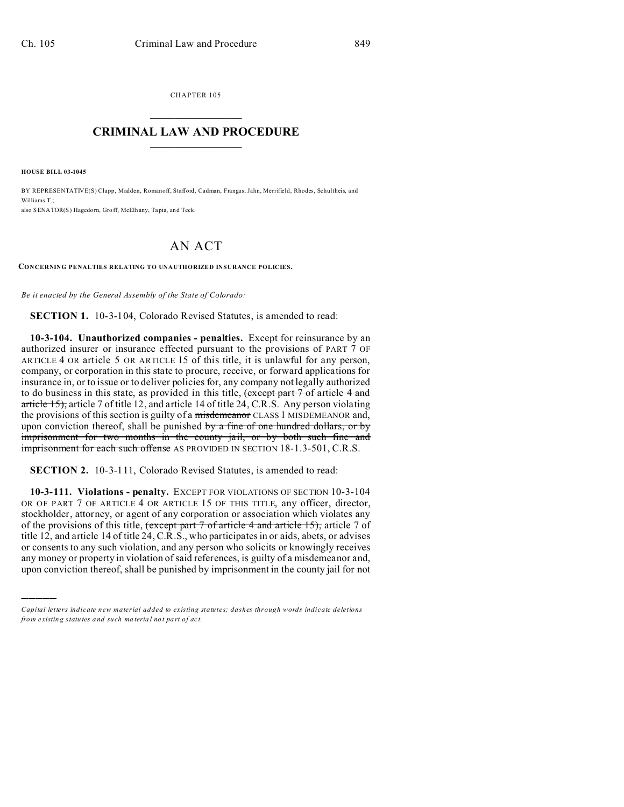CHAPTER 105  $\overline{\phantom{a}}$  , where  $\overline{\phantom{a}}$ 

## **CRIMINAL LAW AND PROCEDURE**  $\_$   $\_$   $\_$   $\_$   $\_$   $\_$   $\_$   $\_$   $\_$   $\_$

**HOUSE BILL 03-1045**

)))))

BY REPRESENTATIVE(S) Clapp, Madden, Romanoff, Stafford, Cadman, Frangas, Jahn, Merrifield, Rhodes, Schultheis, and Williams T · also SENATOR(S) Hagedorn, Gro ff, McElh any, Tapia, and Teck.

## AN ACT

**CONCERNING PENALTIES RELATING TO UNAUTHORIZED INSURANCE POLICIES.**

*Be it enacted by the General Assembly of the State of Colorado:*

**SECTION 1.** 10-3-104, Colorado Revised Statutes, is amended to read:

**10-3-104. Unauthorized companies - penalties.** Except for reinsurance by an authorized insurer or insurance effected pursuant to the provisions of PART 7 OF ARTICLE 4 OR article 5 OR ARTICLE 15 of this title, it is unlawful for any person, company, or corporation in this state to procure, receive, or forward applications for insurance in, or to issue or to deliver policies for, any company not legally authorized to do business in this state, as provided in this title, (except part 7 of article 4 and article 15), article 7 of title 12, and article 14 of title 24, C.R.S. Any person violating the provisions of this section is guilty of a misdemeanor CLASS 1 MISDEMEANOR and, upon conviction thereof, shall be punished by a fine of one hundred dollars, or by imprisonment for two months in the county jail, or by both such fine and imprisonment for each such offense AS PROVIDED IN SECTION 18-1.3-501, C.R.S.

**SECTION 2.** 10-3-111, Colorado Revised Statutes, is amended to read:

**10-3-111. Violations - penalty.** EXCEPT FOR VIOLATIONS OF SECTION 10-3-104 OR OF PART 7 OF ARTICLE 4 OR ARTICLE 15 OF THIS TITLE, any officer, director, stockholder, attorney, or agent of any corporation or association which violates any of the provisions of this title,  $\frac{1}{2}$  (except part 7 of article 4 and article 15), article 7 of title 12, and article 14 of title 24, C.R.S., who participates in or aids, abets, or advises or consents to any such violation, and any person who solicits or knowingly receives any money or property in violation of said references, is guilty of a misdemeanor and, upon conviction thereof, shall be punished by imprisonment in the county jail for not

*Capital letters indicate new material added to existing statutes; dashes through words indicate deletions from e xistin g statu tes a nd such ma teria l no t pa rt of ac t.*